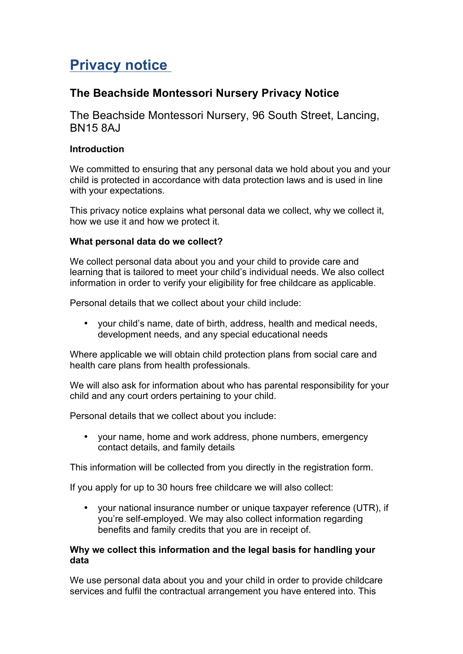# **Privacy notice**

# **The Beachside Montessori Nursery Privacy Notice**

The Beachside Montessori Nursery, 96 South Street, Lancing, BN15 8AJ

# **Introduction**

We committed to ensuring that any personal data we hold about you and your child is protected in accordance with data protection laws and is used in line with your expectations.

This privacy notice explains what personal data we collect, why we collect it, how we use it and how we protect it.

# **What personal data do we collect?**

We collect personal data about you and your child to provide care and learning that is tailored to meet your child's individual needs. We also collect information in order to verify your eligibility for free childcare as applicable.

Personal details that we collect about your child include:

• your child's name, date of birth, address, health and medical needs, development needs, and any special educational needs

Where applicable we will obtain child protection plans from social care and health care plans from health professionals.

We will also ask for information about who has parental responsibility for your child and any court orders pertaining to your child.

Personal details that we collect about you include:

• your name, home and work address, phone numbers, emergency contact details, and family details

This information will be collected from you directly in the registration form.

If you apply for up to 30 hours free childcare we will also collect:

• your national insurance number or unique taxpayer reference (UTR), if you're self-employed. We may also collect information regarding benefits and family credits that you are in receipt of.

### **Why we collect this information and the legal basis for handling your data**

We use personal data about you and your child in order to provide childcare services and fulfil the contractual arrangement you have entered into. This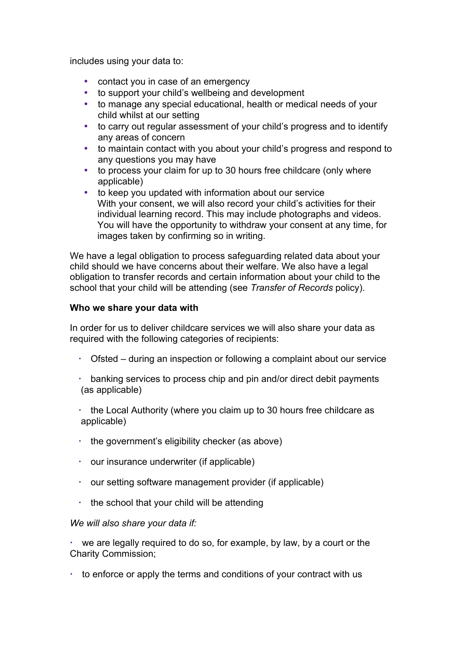includes using your data to:

- contact you in case of an emergency
- to support your child's wellbeing and development
- to manage any special educational, health or medical needs of your child whilst at our setting
- to carry out regular assessment of your child's progress and to identify any areas of concern
- to maintain contact with you about your child's progress and respond to any questions you may have
- to process your claim for up to 30 hours free childcare (only where applicable)
- to keep you updated with information about our service With your consent, we will also record your child's activities for their individual learning record. This may include photographs and videos. You will have the opportunity to withdraw your consent at any time, for images taken by confirming so in writing.

We have a legal obligation to process safeguarding related data about your child should we have concerns about their welfare. We also have a legal obligation to transfer records and certain information about your child to the school that your child will be attending (see *Transfer of Records* policy).

### **Who we share your data with**

In order for us to deliver childcare services we will also share your data as required with the following categories of recipients:

- Ofsted during an inspection or following a complaint about our service
- banking services to process chip and pin and/or direct debit payments (as applicable)
- $\cdot$  the Local Authority (where you claim up to 30 hours free childcare as applicable)
- $\cdot$  the government's eligibility checker (as above)
- our insurance underwriter (if applicable)
- our setting software management provider (if applicable)
- $\cdot$  the school that your child will be attending

### *We will also share your data if:*

 we are legally required to do so, for example, by law, by a court or the Charity Commission;

 $\cdot$  to enforce or apply the terms and conditions of your contract with us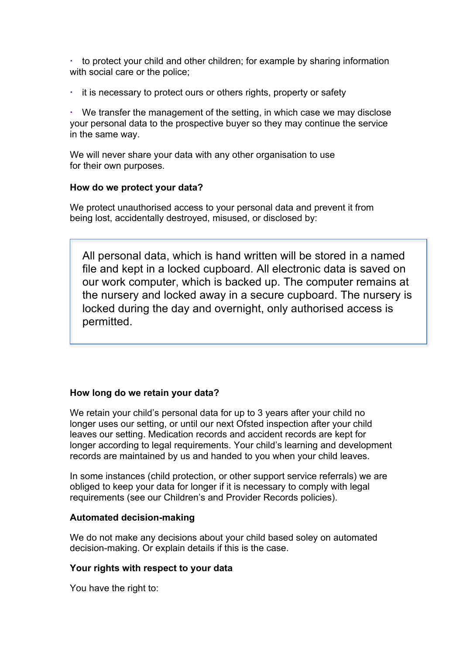$\cdot$  to protect your child and other children; for example by sharing information with social care or the police;

it is necessary to protect ours or others rights, property or safety

 We transfer the management of the setting, in which case we may disclose your personal data to the prospective buyer so they may continue the service in the same way.

We will never share your data with any other organisation to use for their own purposes.

### **How do we protect your data?**

We protect unauthorised access to your personal data and prevent it from being lost, accidentally destroyed, misused, or disclosed by:

All personal data, which is hand written will be stored in a named file and kept in a locked cupboard. All electronic data is saved on our work computer, which is backed up. The computer remains at the nursery and locked away in a secure cupboard. The nursery is locked during the day and overnight, only authorised access is permitted.

### **How long do we retain your data?**

We retain your child's personal data for up to 3 years after your child no longer uses our setting, or until our next Ofsted inspection after your child leaves our setting. Medication records and accident records are kept for longer according to legal requirements. Your child's learning and development records are maintained by us and handed to you when your child leaves.

In some instances (child protection, or other support service referrals) we are obliged to keep your data for longer if it is necessary to comply with legal requirements (see our Children's and Provider Records policies).

#### **Automated decision-making**

We do not make any decisions about your child based soley on automated decision-making. Or explain details if this is the case.

#### **Your rights with respect to your data**

You have the right to: